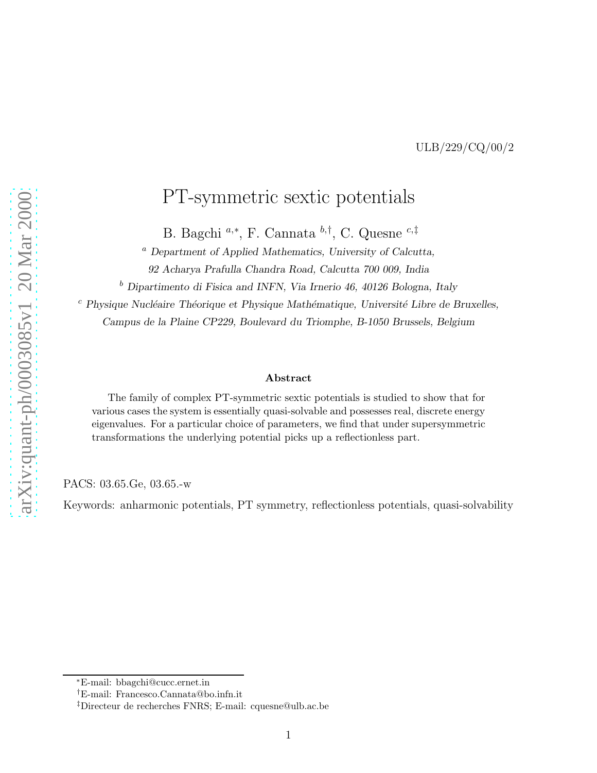ULB/229/CQ/00/2

## PT-symmetric sextic potentials

B. Bagchi <sup>*a*,∗</sup>, F. Cannata <sup>*b*,†</sup>, C. Quesne <sup>*c*,‡</sup>

<sup>a</sup> Department of Applied Mathematics, University of Calcutta,

92 Acharya Prafulla Chandra Road, Calcutta 700 009, India

<sup>b</sup> Dipartimento di Fisica and INFN, Via Irnerio 46, 40126 Bologna, Italy

 $c$  Physique Nucléaire Théorique et Physique Mathématique, Université Libre de Bruxelles, Campus de la Plaine CP229, Boulevard du Triomphe, B-1050 Brussels, Belgium

#### Abstract

The family of complex PT-symmetric sextic potentials is studied to show that for various cases the system is essentially quasi-solvable and possesses real, discrete energy eigenvalues. For a particular choice of parameters, we find that under supersymmetric transformations the underlying potential picks up a reflectionless part.

PACS: 03.65.Ge, 03.65.-w

Keywords: anharmonic potentials, PT symmetry, reflectionless potentials, quasi-solvability

<sup>∗</sup>E-mail: bbagchi@cucc.ernet.in

<sup>†</sup>E-mail: Francesco.Cannata@bo.infn.it

<sup>‡</sup>Directeur de recherches FNRS; E-mail: cquesne@ulb.ac.be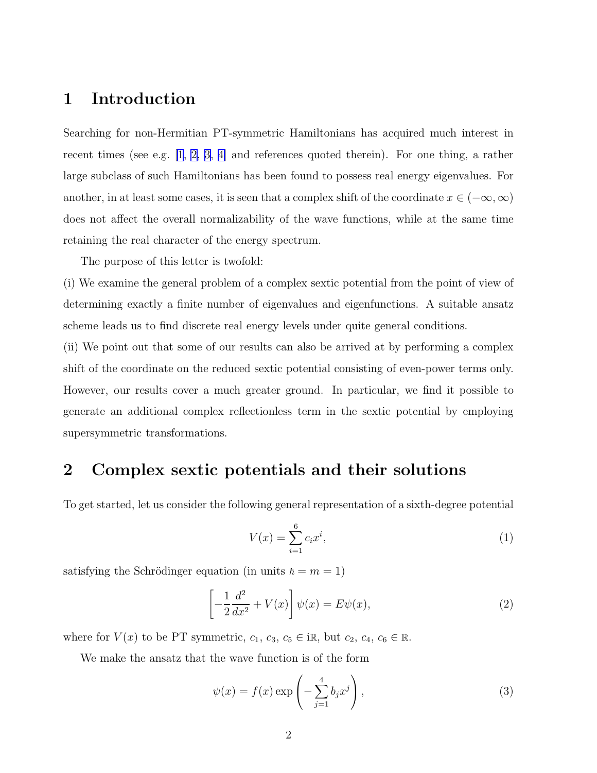### <span id="page-1-0"></span>1 Introduction

Searching for non-Hermitian PT-symmetric Hamiltonians has acquired much interest in recent times (see e.g. [\[1](#page-7-0), [2](#page-7-0), [3, 4\]](#page-7-0) and references quoted therein). For one thing, a rather large subclass of such Hamiltonians has been found to possess real energy eigenvalues. For another, in at least some cases, it is seen that a complex shift of the coordinate  $x \in (-\infty, \infty)$ does not affect the overall normalizability of the wave functions, while at the same time retaining the real character of the energy spectrum.

The purpose of this letter is twofold:

(i) We examine the general problem of a complex sextic potential from the point of view of determining exactly a finite number of eigenvalues and eigenfunctions. A suitable ansatz scheme leads us to find discrete real energy levels under quite general conditions.

(ii) We point out that some of our results can also be arrived at by performing a complex shift of the coordinate on the reduced sextic potential consisting of even-power terms only. However, our results cover a much greater ground. In particular, we find it possible to generate an additional complex reflectionless term in the sextic potential by employing supersymmetric transformations.

#### 2 Complex sextic potentials and their solutions

To get started, let us consider the following general representation of a sixth-degree potential

$$
V(x) = \sum_{i=1}^{6} c_i x^i,
$$
 (1)

satisfying the Schrödinger equation (in units  $\hbar = m = 1$ )

$$
\left[-\frac{1}{2}\frac{d^2}{dx^2} + V(x)\right]\psi(x) = E\psi(x),\tag{2}
$$

where for  $V(x)$  to be PT symmetric,  $c_1, c_3, c_5 \in \mathbb{R}$ , but  $c_2, c_4, c_6 \in \mathbb{R}$ .

We make the ansatz that the wave function is of the form

$$
\psi(x) = f(x) \exp\left(-\sum_{j=1}^{4} b_j x^j\right),\tag{3}
$$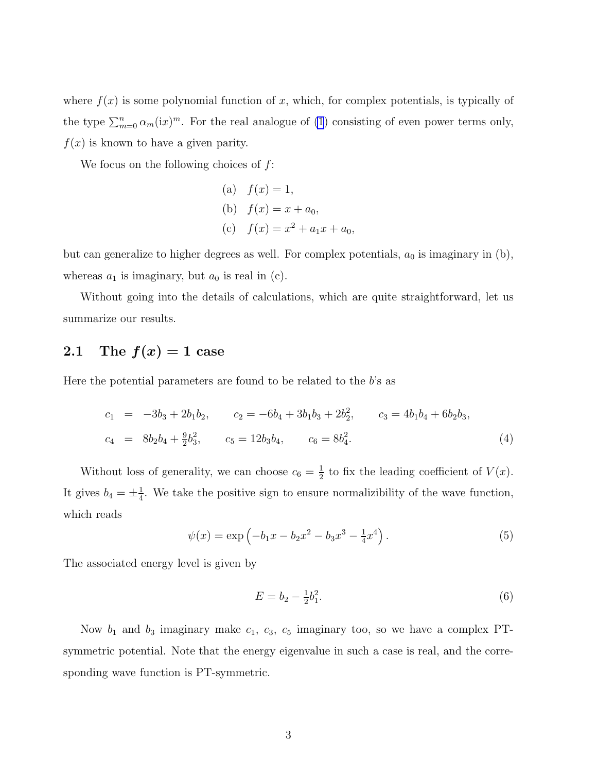<span id="page-2-0"></span>where  $f(x)$  is some polynomial function of x, which, for complex potentials, is typically of the type  $\sum_{m=0}^n \alpha_m(ix)^m$ . For the real analogue of [\(1](#page-1-0)) consisting of even power terms only,  $f(x)$  is known to have a given parity.

We focus on the following choices of  $f$ :

(a) 
$$
f(x) = 1
$$
,  
\n(b)  $f(x) = x + a_0$ ,  
\n(c)  $f(x) = x^2 + a_1x + a_0$ ,

but can generalize to higher degrees as well. For complex potentials,  $a_0$  is imaginary in (b), whereas  $a_1$  is imaginary, but  $a_0$  is real in (c).

Without going into the details of calculations, which are quite straightforward, let us summarize our results.

#### 2.1 The  $f(x) = 1$  case

Here the potential parameters are found to be related to the  $b$ 's as

$$
c_1 = -3b_3 + 2b_1b_2, \t c_2 = -6b_4 + 3b_1b_3 + 2b_2^2, \t c_3 = 4b_1b_4 + 6b_2b_3,
$$
  

$$
c_4 = 8b_2b_4 + \frac{9}{2}b_3^2, \t c_5 = 12b_3b_4, \t c_6 = 8b_4^2.
$$
 (4)

Without loss of generality, we can choose  $c_6 = \frac{1}{2}$  $\frac{1}{2}$  to fix the leading coefficient of  $V(x)$ . It gives  $b_4 = \pm \frac{1}{4}$  $\frac{1}{4}$ . We take the positive sign to ensure normalizibility of the wave function, which reads

$$
\psi(x) = \exp\left(-b_1x - b_2x^2 - b_3x^3 - \frac{1}{4}x^4\right). \tag{5}
$$

The associated energy level is given by

$$
E = b_2 - \frac{1}{2}b_1^2.
$$
 (6)

Now  $b_1$  and  $b_3$  imaginary make  $c_1$ ,  $c_3$ ,  $c_5$  imaginary too, so we have a complex PTsymmetric potential. Note that the energy eigenvalue in such a case is real, and the corresponding wave function is PT-symmetric.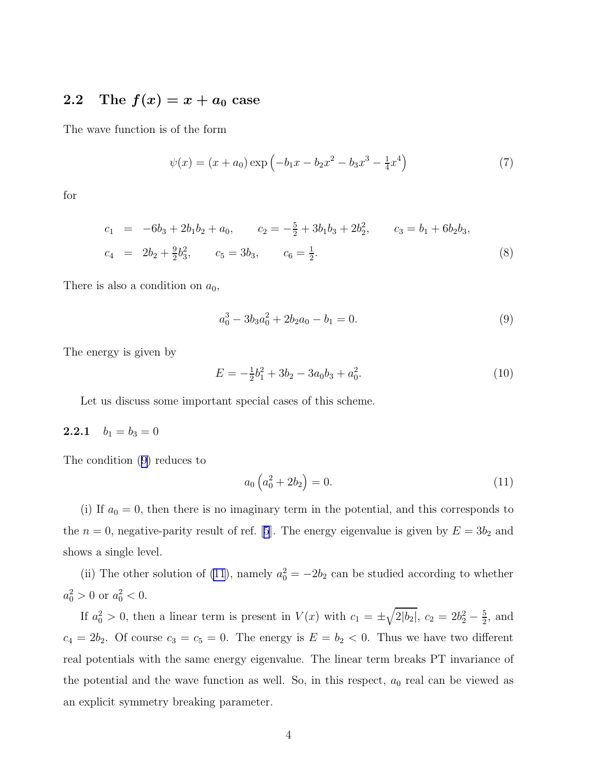#### 2.2 The  $f(x) = x + a_0$  case

The wave function is of the form

$$
\psi(x) = (x + a_0) \exp\left(-b_1 x - b_2 x^2 - b_3 x^3 - \frac{1}{4} x^4\right)
$$
\n(7)

for

$$
c_1 = -6b_3 + 2b_1b_2 + a_0, \t c_2 = -\frac{5}{2} + 3b_1b_3 + 2b_2^2, \t c_3 = b_1 + 6b_2b_3,
$$
  

$$
c_4 = 2b_2 + \frac{9}{2}b_3^2, \t c_5 = 3b_3, \t c_6 = \frac{1}{2}.
$$
 (8)

There is also a condition on  $a_0$ ,

$$
a_0^3 - 3b_3a_0^2 + 2b_2a_0 - b_1 = 0.
$$
\n(9)

The energy is given by

$$
E = -\frac{1}{2}b_1^2 + 3b_2 - 3a_0b_3 + a_0^2.
$$
 (10)

Let us discuss some important special cases of this scheme.

#### 2.2.1  $b_1 = b_3 = 0$

The condition (9) reduces to

$$
a_0 \left( a_0^2 + 2b_2 \right) = 0. \tag{11}
$$

(i) If  $a_0 = 0$ , then there is no imaginary term in the potential, and this corresponds to the $n = 0$ , negative-parity result of ref. [[5](#page-7-0)]. The energy eigenvalue is given by  $E = 3b_2$  and shows a single level.

(ii) The other solution of (11), namely  $a_0^2 = -2b_2$  can be studied according to whether  $a_0^2 > 0$  or  $a_0^2 < 0$ .

If  $a_0^2 > 0$ , then a linear term is present in  $V(x)$  with  $c_1 = \pm \sqrt{2|b_2|}$ ,  $c_2 = 2b_2^2 - \frac{5}{2}$  $\frac{5}{2}$ , and  $c_4 = 2b_2$ . Of course  $c_3 = c_5 = 0$ . The energy is  $E = b_2 < 0$ . Thus we have two different real potentials with the same energy eigenvalue. The linear term breaks PT invariance of the potential and the wave function as well. So, in this respect,  $a_0$  real can be viewed as an explicit symmetry breaking parameter.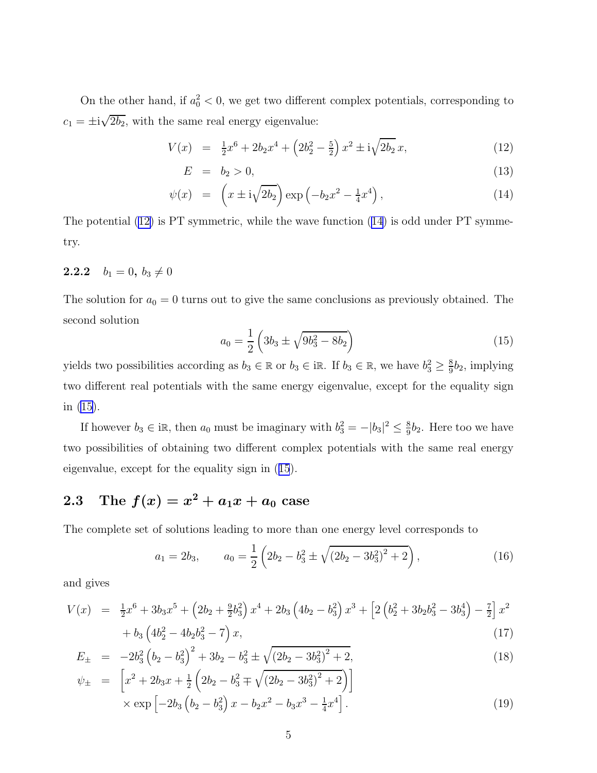<span id="page-4-0"></span>On the other hand, if  $a_0^2 < 0$ , we get two different complex potentials, corresponding to  $c_1 = \pm i \sqrt{2b_2}$ , with the same real energy eigenvalue:

$$
V(x) = \frac{1}{2}x^6 + 2b_2x^4 + \left(2b_2^2 - \frac{5}{2}\right)x^2 \pm i\sqrt{2b_2}x,\tag{12}
$$

$$
E = b_2 > 0,\t\t(13)
$$

$$
\psi(x) = \left(x \pm i\sqrt{2b_2}\right) \exp\left(-b_2 x^2 - \frac{1}{4}x^4\right),\tag{14}
$$

The potential (12) is PT symmetric, while the wave function (14) is odd under PT symmetry.

#### **2.2.2**  $b_1 = 0, b_3 \neq 0$

The solution for  $a_0 = 0$  turns out to give the same conclusions as previously obtained. The second solution

$$
a_0 = \frac{1}{2} \left( 3b_3 \pm \sqrt{9b_3^2 - 8b_2} \right) \tag{15}
$$

yields two possibilities according as  $b_3 \in \mathbb{R}$  or  $b_3 \in \mathbb{R}$ . If  $b_3 \in \mathbb{R}$ , we have  $b_3^2 \ge \frac{8}{9}$  $\frac{8}{9}b_2$ , implying two different real potentials with the same energy eigenvalue, except for the equality sign in (15).

If however  $b_3 \in \mathbb{R}$ , then  $a_0$  must be imaginary with  $b_3^2 = -|b_3|^2 \leq \frac{8}{9}$  $\frac{8}{9}b_2$ . Here too we have two possibilities of obtaining two different complex potentials with the same real energy eigenvalue, except for the equality sign in (15).

# 2.3 The  $f(x) = x^2 + a_1x + a_0$  case

The complete set of solutions leading to more than one energy level corresponds to

$$
a_1 = 2b_3, \qquad a_0 = \frac{1}{2} \left( 2b_2 - b_3^2 \pm \sqrt{(2b_2 - 3b_3^2)^2 + 2} \right), \tag{16}
$$

and gives

$$
V(x) = \frac{1}{2}x^6 + 3b_3x^5 + (2b_2 + \frac{9}{2}b_3^2)x^4 + 2b_3(4b_2 - b_3^2)x^3 + [2(b_2^2 + 3b_2b_3^2 - 3b_3^4) - \frac{7}{2}]x^2
$$
  
+  $b_3(4b_2^2 - 4b_2b_3^2 - 7)x,$  (17)

$$
E_{\pm} = -2b_3^2 \left(b_2 - b_3^2\right)^2 + 3b_2 - b_3^2 \pm \sqrt{\left(2b_2 - 3b_3^2\right)^2 + 2},
$$
\n
$$
e^{(k)} = \left[x_2^2 + 2b_1x_1 + \frac{1}{2} \left(2b_1 - b_2^2 + \sqrt{\left(2b_2 - 3b_3^2\right)^2 + 2}\right)\right]
$$
\n(18)

$$
\psi_{\pm} = \left[ x^2 + 2b_3x + \frac{1}{2} \left( 2b_2 - b_3^2 \mp \sqrt{(2b_2 - 3b_3^2)^2 + 2} \right) \right] \times \exp \left[ -2b_3 \left( b_2 - b_3^2 \right) x - b_2 x^2 - b_3 x^3 - \frac{1}{4} x^4 \right]. \tag{19}
$$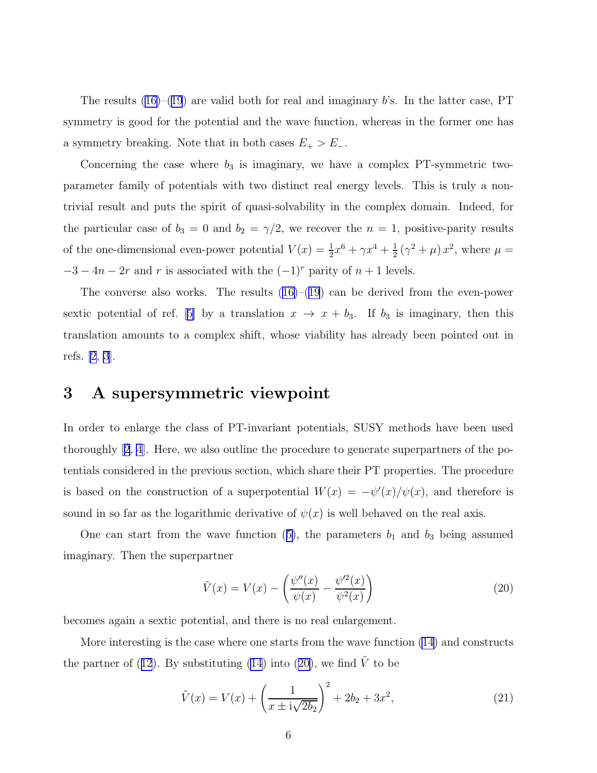<span id="page-5-0"></span>Theresults  $(16)$  $(16)$ – $(19)$  $(19)$  $(19)$  are valid both for real and imaginary b's. In the latter case, PT symmetry is good for the potential and the wave function, whereas in the former one has a symmetry breaking. Note that in both cases  $E_+ > E_-$ .

Concerning the case where  $b_3$  is imaginary, we have a complex PT-symmetric twoparameter family of potentials with two distinct real energy levels. This is truly a nontrivial result and puts the spirit of quasi-solvability in the complex domain. Indeed, for the particular case of  $b_3 = 0$  and  $b_2 = \gamma/2$ , we recover the  $n = 1$ , positive-parity results of the one-dimensional even-power potential  $V(x) = \frac{1}{2}x^6 + \gamma x^4 + \frac{1}{2}$  $\frac{1}{2}(\gamma^2+\mu)x^2$ , where  $\mu=$  $-3 - 4n - 2r$  and r is associated with the  $(-1)^r$  parity of  $n + 1$  levels.

Theconverse also works. The results  $(16)$  $(16)$ – $(19)$  $(19)$  $(19)$  can be derived from the even-power sexticpotential of ref. [[5\]](#page-7-0) by a translation  $x \to x + b_3$ . If  $b_3$  is imaginary, then this translation amounts to a complex shift, whose viability has already been pointed out in refs. [\[2](#page-7-0), [3](#page-7-0)].

#### 3 A supersymmetric viewpoint

In order to enlarge the class of PT-invariant potentials, SUSY methods have been used thoroughly[[2](#page-7-0), [4](#page-7-0)]. Here, we also outline the procedure to generate superpartners of the potentials considered in the previous section, which share their PT properties. The procedure is based on the construction of a superpotential  $W(x) = -\psi'(x)/\psi(x)$ , and therefore is sound in so far as the logarithmic derivative of  $\psi(x)$  is well behaved on the real axis.

Onecan start from the wave function ([5\)](#page-2-0), the parameters  $b_1$  and  $b_3$  being assumed imaginary. Then the superpartner

$$
\tilde{V}(x) = V(x) - \left(\frac{\psi''(x)}{\psi(x)} - \frac{\psi'^2(x)}{\psi^2(x)}\right)
$$
\n(20)

becomes again a sextic potential, and there is no real enlargement.

More interesting is the case where one starts from the wave function [\(14](#page-4-0)) and constructs thepartner of ([12](#page-4-0)). By substituting [\(14](#page-4-0)) into (20), we find  $\tilde{V}$  to be

$$
\tilde{V}(x) = V(x) + \left(\frac{1}{x \pm i\sqrt{2b_2}}\right)^2 + 2b_2 + 3x^2,
$$
\n(21)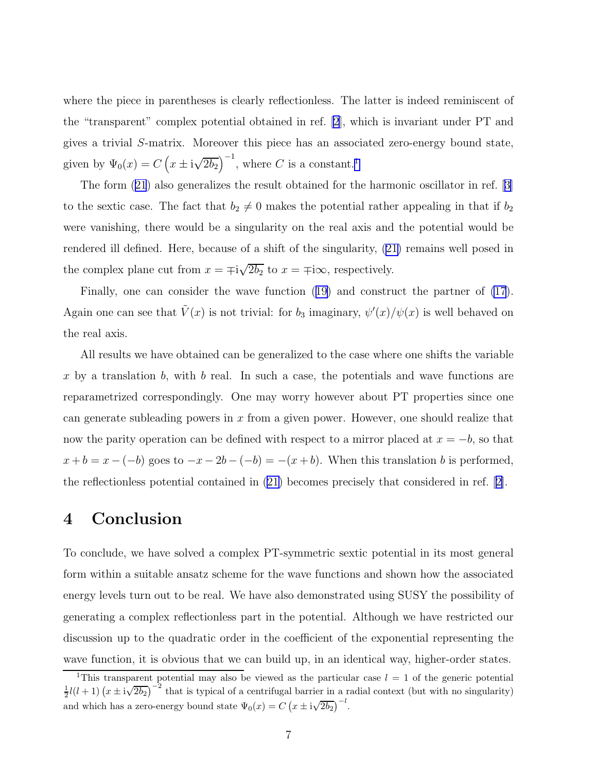where the piece in parentheses is clearly reflectionless. The latter is indeed reminiscent of the "transparent" complex potential obtained in ref. [\[2](#page-7-0)], which is invariant under PT and gives a trivial S-matrix. Moreover this piece has an associated zero-energy bound state, given by  $\Psi_0(x) = C\left(x \pm i\sqrt{2b_2}\right)^{-1}$ , where C is a constant.<sup>1</sup>

The form([21](#page-5-0)) also generalizes the result obtained for the harmonic oscillator in ref.[[3\]](#page-7-0) to the sextic case. The fact that  $b_2 \neq 0$  makes the potential rather appealing in that if  $b_2$ were vanishing, there would be a singularity on the real axis and the potential would be rendered ill defined. Here, because of a shift of the singularity,([21\)](#page-5-0) remains well posed in the complex plane cut from  $x = \pm i\sqrt{2b_2}$  to  $x = \pm i\infty$ , respectively.

Finally, one can consider the wave function([19\)](#page-4-0) and construct the partner of [\(17](#page-4-0)). Again one can see that  $\tilde{V}(x)$  is not trivial: for  $b_3$  imaginary,  $\psi'(x)/\psi(x)$  is well behaved on the real axis.

All results we have obtained can be generalized to the case where one shifts the variable x by a translation b, with b real. In such a case, the potentials and wave functions are reparametrized correspondingly. One may worry however about PT properties since one can generate subleading powers in  $x$  from a given power. However, one should realize that now the parity operation can be defined with respect to a mirror placed at  $x = -b$ , so that  $x + b = x - (-b)$  goes to  $-x - 2b - (-b) = -(x + b)$ . When this translation b is performed, the reflectionless potential contained in [\(21\)](#page-5-0) becomes precisely that considered in ref.[[2\]](#page-7-0).

#### 4 Conclusion

To conclude, we have solved a complex PT-symmetric sextic potential in its most general form within a suitable ansatz scheme for the wave functions and shown how the associated energy levels turn out to be real. We have also demonstrated using SUSY the possibility of generating a complex reflectionless part in the potential. Although we have restricted our discussion up to the quadratic order in the coefficient of the exponential representing the wave function, it is obvious that we can build up, in an identical way, higher-order states.

<sup>&</sup>lt;sup>1</sup>This transparent potential may also be viewed as the particular case  $l = 1$  of the generic potential  $\frac{1}{2}l(l+1)(x \pm i\sqrt{2b_2})^{-2}$  that is typical of a centrifugal barrier in a radial context (but with no singularity) and which has a zero-energy bound state  $\Psi_0(x) = C (x \pm i \sqrt{2b_2})^{-l}$ .